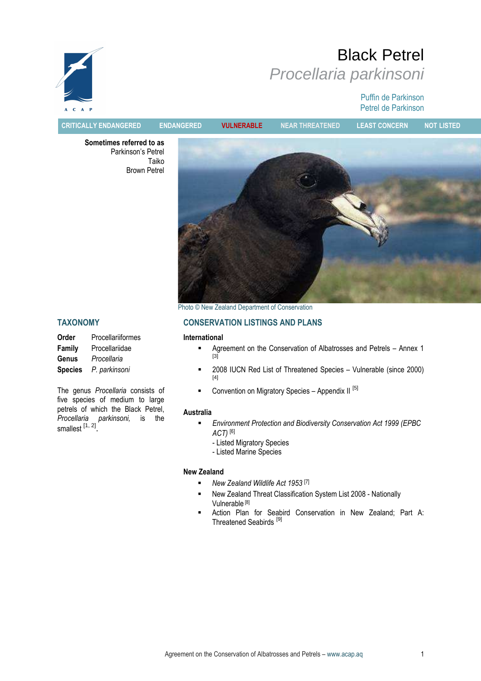# Black Petrel Procellaria parkinsoni

#### Puffin de Parkinson Petrel de Parkinson



CRITICALLY ENDANGERED ENDANGERED VULNERABLE NEAR THREATENED LEAST CONCERN NOT LISTED

Sometimes referred to as Parkinson's Petrel Taiko Brown Petrel



Photo © New Zealand Department of Conservation

#### TAXONOMY

| Order          | Procellariiformes |
|----------------|-------------------|
| Family         | Procellariidae    |
| Genus          | Procellaria       |
| <b>Species</b> | P. parkinsoni     |

The genus Procellaria consists of five species of medium to large petrels of which the Black Petrel, Procellaria parkinsoni, is the smallest <sup>[1, 2]</sup>.

## CONSERVATION LISTINGS AND PLANS

#### International

- Agreement on the Conservation of Albatrosses and Petrels Annex 1  $[3]$
- **2008 IUCN Red List of Threatened Species Vulnerable (since 2000)** [4]
- **Convention on Migratory Species Appendix II [5]**

#### Australia

- Environment Protection and Biodiversity Conservation Act 1999 (EPBC
	- ACT) [6]
	- Listed Migratory Species
	- Listed Marine Species

#### New Zealand

- New Zealand Wildlife Act 1953 [7]
- New Zealand Threat Classification System List 2008 Nationally Vulnerable [8]
- Action Plan for Seabird Conservation in New Zealand; Part A: Threatened Seabirds [9]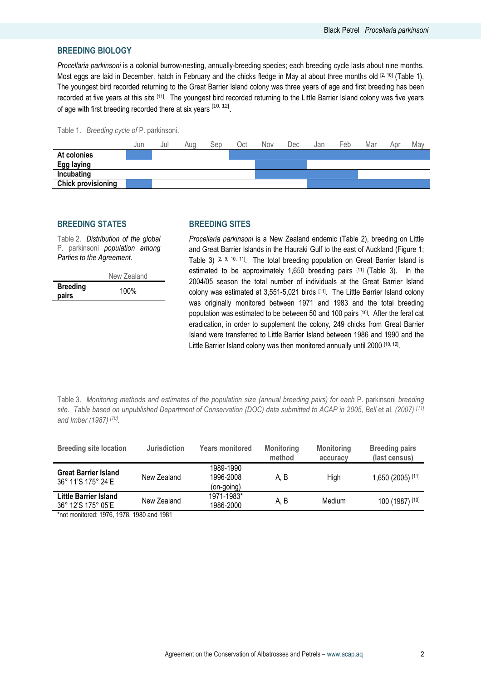#### BREEDING BIOLOGY

Procellaria parkinsoni is a colonial burrow-nesting, annually-breeding species; each breeding cycle lasts about nine months. Most eggs are laid in December, hatch in February and the chicks fledge in May at about three months old  $[2, 10]$  (Table 1). The youngest bird recorded returning to the Great Barrier Island colony was three years of age and first breeding has been recorded at five years at this site [11]. The youngest bird recorded returning to the Little Barrier Island colony was five years of age with first breeding recorded there at six years <sup>[10, 12]</sup>.

#### Table 1. Breeding cycle of P. parkinsoni.



#### BREEDING STATES

Table 2. Distribution of the global P. parkinsoni population among Parties to the Agreement.

| <b>Breeding</b> | New Zealand |
|-----------------|-------------|
| pairs           | $100\%$     |

#### BREEDING SITES

Procellaria parkinsoni is a New Zealand endemic (Table 2), breeding on Little and Great Barrier Islands in the Hauraki Gulf to the east of Auckland (Figure 1; Table 3) [2, 9, 10, 11]. The total breeding population on Great Barrier Island is estimated to be approximately 1,650 breeding pairs [11] (Table 3). In the 2004/05 season the total number of individuals at the Great Barrier Island colony was estimated at 3,551-5,021 birds [11]. The Little Barrier Island colony was originally monitored between 1971 and 1983 and the total breeding population was estimated to be between 50 and 100 pairs [10]. After the feral cat eradication, in order to supplement the colony, 249 chicks from Great Barrier Island were transferred to Little Barrier Island between 1986 and 1990 and the Little Barrier Island colony was then monitored annually until 2000 [10, 12].

Table 3. Monitoring methods and estimates of the population size (annual breeding pairs) for each P. parkinsoni breeding site. Table based on unpublished Department of Conservation (DOC) data submitted to ACAP in 2005, Bell et al. (2007) [11] and Imber (1987) <sup>[10]</sup>.

| <b>Breeding site location</b>                     | <b>Jurisdiction</b> | <b>Years monitored</b>               | <b>Monitoring</b><br>method | <b>Monitoring</b><br>accuracy | <b>Breeding pairs</b><br>(last census) |
|---------------------------------------------------|---------------------|--------------------------------------|-----------------------------|-------------------------------|----------------------------------------|
| <b>Great Barrier Island</b><br>36° 11'S 175° 24'E | New Zealand         | 1989-1990<br>1996-2008<br>(on-going) | A. B                        | High                          | 1,650 (2005) [11]                      |
| Little Barrier Island<br>36° 12'S 175° 05'E       | New Zealand         | 1971-1983*<br>1986-2000              | A. B                        | Medium                        | 100 (1987) [10]                        |

\*not monitored: 1976, 1978, 1980 and 1981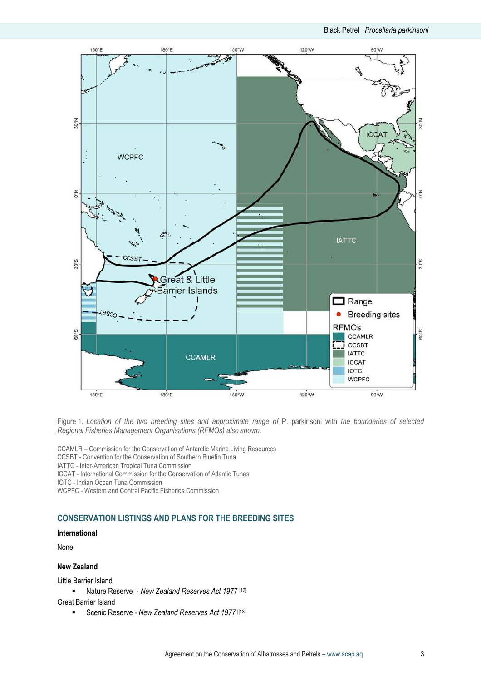

Figure 1. Location of the two breeding sites and approximate range of P. parkinsoni with the boundaries of selected Regional Fisheries Management Organisations (RFMOs) also shown.

CCAMLR – Commission for the Conservation of Antarctic Marine Living Resources

CCSBT - Convention for the Conservation of Southern Bluefin Tuna

IATTC - Inter-American Tropical Tuna Commission

ICCAT - International Commission for the Conservation of Atlantic Tunas

IOTC - Indian Ocean Tuna Commission

WCPFC - Western and Central Pacific Fisheries Commission

#### CONSERVATION LISTINGS AND PLANS FOR THE BREEDING SITES

#### International

None

#### New Zealand

Little Barrier Island

- Nature Reserve New Zealand Reserves Act 1977 [13] Great Barrier Island
	- Scenic Reserve New Zealand Reserves Act 1977 [[13]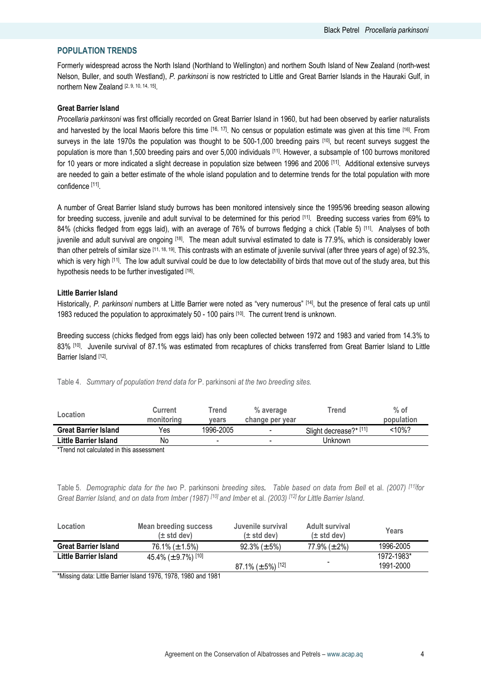#### POPULATION TRENDS

Formerly widespread across the North Island (Northland to Wellington) and northern South Island of New Zealand (north-west Nelson, Buller, and south Westland), P. parkinsoni is now restricted to Little and Great Barrier Islands in the Hauraki Gulf, in northern New Zealand [2, 9, 10, 14, 15].

#### Great Barrier Island

Procellaria parkinsoni was first officially recorded on Great Barrier Island in 1960, but had been observed by earlier naturalists and harvested by the local Maoris before this time [16, 17]. No census or population estimate was given at this time [16]. From surveys in the late 1970s the population was thought to be 500-1,000 breeding pairs [10], but recent surveys suggest the population is more than 1,500 breeding pairs and over 5,000 individuals [11]. However, a subsample of 100 burrows monitored for 10 years or more indicated a slight decrease in population size between 1996 and 2006 [11]. Additional extensive surveys are needed to gain a better estimate of the whole island population and to determine trends for the total population with more confidence [11] .

A number of Great Barrier Island study burrows has been monitored intensively since the 1995/96 breeding season allowing for breeding success, juvenile and adult survival to be determined for this period [11]. Breeding success varies from 69% to 84% (chicks fledged from eggs laid), with an average of 76% of burrows fledging a chick (Table 5) [11]. Analyses of both juvenile and adult survival are ongoing [18]. The mean adult survival estimated to date is 77.9%, which is considerably lower than other petrels of similar size [11, 18, 19]. This contrasts with an estimate of juvenile survival (after three years of age) of 92.3%, which is very high [11]. The low adult survival could be due to low detectability of birds that move out of the study area, but this hypothesis needs to be further investigated [18].

#### Little Barrier Island

Historically, P. parkinsoni numbers at Little Barrier were noted as "very numerous" [14], but the presence of feral cats up until 1983 reduced the population to approximately 50 - 100 pairs [10]. The current trend is unknown.

Breeding success (chicks fledged from eggs laid) has only been collected between 1972 and 1983 and varied from 14.3% to 83% [10]. Juvenile survival of 87.1% was estimated from recaptures of chicks transferred from Great Barrier Island to Little Barrier Island [12].

Table 4. Summary of population trend data for P. parkinsoni at the two breeding sites.

| Location                    | <b>Current</b><br>monitoring | Trend<br>vears           | % average<br>change per year | <b>Trend</b>           | $%$ of<br>population |
|-----------------------------|------------------------------|--------------------------|------------------------------|------------------------|----------------------|
| <b>Great Barrier Island</b> | Yes                          | 1996-2005                |                              | Slight decrease?* [11] | <10%?                |
| Little Barrier Island       | No                           | $\overline{\phantom{a}}$ |                              | Unknown                |                      |
|                             |                              |                          |                              |                        |                      |

\*Trend not calculated in this assessment

Table 5. Demographic data for the two P. parkinsoni breeding sites. Table based on data from Bell et al. (2007) [11]for Great Barrier Island, and on data from Imber (1987) [10] and Imber et al. (2003) [12] for Little Barrier Island.

| <b>Location</b>             | Mean breeding success<br>$(\pm$ std dev) | Juvenile survival<br>$(\pm$ std dev) | Adult survival<br>$(\pm$ std dev) | Years      |
|-----------------------------|------------------------------------------|--------------------------------------|-----------------------------------|------------|
| <b>Great Barrier Island</b> | 76.1% ( $\pm$ 1.5%)                      | $92.3\% (\pm 5\%)$                   | 77.9% ( $\pm$ 2%)                 | 1996-2005  |
| Little Barrier Island       | 45.4% ( $\pm$ 9.7%) <sup>[10]</sup>      |                                      |                                   | 1972-1983* |
|                             |                                          | 87.1% ( $\pm$ 5%) <sup>[12]</sup>    |                                   | 1991-2000  |

\*Missing data: Little Barrier Island 1976, 1978, 1980 and 1981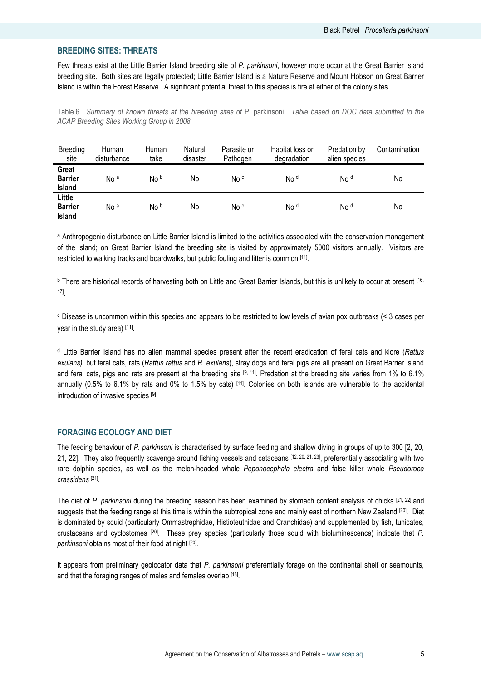#### BREEDING SITES: THREATS

Few threats exist at the Little Barrier Island breeding site of P. parkinsoni, however more occur at the Great Barrier Island breeding site. Both sites are legally protected; Little Barrier Island is a Nature Reserve and Mount Hobson on Great Barrier Island is within the Forest Reserve. A significant potential threat to this species is fire at either of the colony sites.

Table 6. Summary of known threats at the breeding sites of P. parkinsoni. Table based on DOC data submitted to the ACAP Breeding Sites Working Group in 2008.

| Breeding<br>site                   | Human<br>disturbance | Human<br>take | Natural<br>disaster | Parasite or<br>Pathogen | Habitat loss or<br>degradation | Predation by<br>alien species | Contamination |
|------------------------------------|----------------------|---------------|---------------------|-------------------------|--------------------------------|-------------------------------|---------------|
| Great<br><b>Barrier</b><br>Island  | No <sup>a</sup>      | No b          | No                  | No <sup>c</sup>         | No <sup>d</sup>                | No <sup>d</sup>               | No            |
| Little<br><b>Barrier</b><br>Island | No <sup>a</sup>      | No b          | No                  | No <sup>c</sup>         | No <sup>d</sup>                | No <sup>d</sup>               | No            |

a Anthropogenic disturbance on Little Barrier Island is limited to the activities associated with the conservation management of the island; on Great Barrier Island the breeding site is visited by approximately 5000 visitors annually. Visitors are restricted to walking tracks and boardwalks, but public fouling and litter is common [11] .

 $b$  There are historical records of harvesting both on Little and Great Barrier Islands, but this is unlikely to occur at present  $[16, 16]$ 17] .

<sup>c</sup> Disease is uncommon within this species and appears to be restricted to low levels of avian pox outbreaks (< 3 cases per year in the study area) [11].

<sup>d</sup> Little Barrier Island has no alien mammal species present after the recent eradication of feral cats and kiore (Rattus exulans), but feral cats, rats (Rattus rattus and R. exulans), stray dogs and feral pigs are all present on Great Barrier Island and feral cats, pigs and rats are present at the breeding site  $[9, 11]$ . Predation at the breeding site varies from 1% to 6.1% annually ( $0.5\%$  to  $6.1\%$  by rats and  $0\%$  to 1.5% by cats)  $[11]$ . Colonies on both islands are vulnerable to the accidental introduction of invasive species [9].

#### FORAGING ECOLOGY AND DIET

The feeding behaviour of P. parkinsoni is characterised by surface feeding and shallow diving in groups of up to 300 [2, 20, 21, 22]. They also frequently scavenge around fishing vessels and cetaceans [12, 20, 21, 23], preferentially associating with two rare dolphin species, as well as the melon-headed whale Peponocephala electra and false killer whale Pseudoroca crassidens [21] .

The diet of P. parkinsoni during the breeding season has been examined by stomach content analysis of chicks [21, 22] and suggests that the feeding range at this time is within the subtropical zone and mainly east of northern New Zealand [20]. Diet is dominated by squid (particularly Ommastrephidae, Histioteuthidae and Cranchidae) and supplemented by fish, tunicates, crustaceans and cyclostomes [20]. These prey species (particularly those squid with bioluminescence) indicate that P. parkinsoni obtains most of their food at night [20].

It appears from preliminary geolocator data that P. parkinsoni preferentially forage on the continental shelf or seamounts, and that the foraging ranges of males and females overlap [18].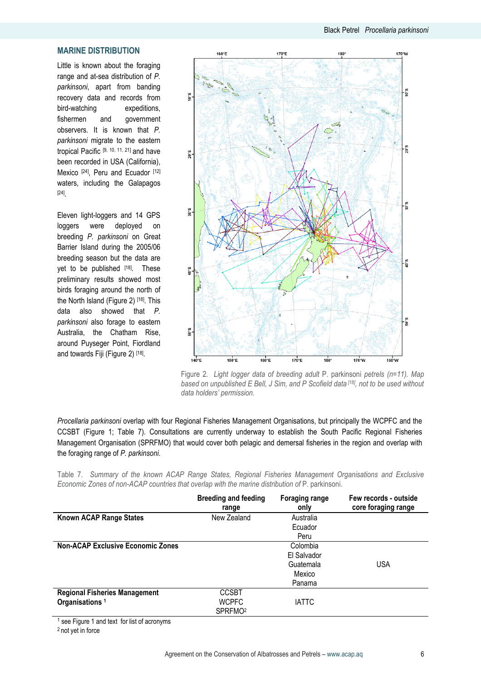### Black Petrel Procellaria parkinsoni

#### MARINE DISTRIBUTION

Little is known about the foraging range and at-sea distribution of P. parkinsoni, apart from banding recovery data and records from bird-watching expeditions, fishermen and government observers. It is known that P. parkinsoni migrate to the eastern tropical Pacific [9, 10, 11, 21] and have been recorded in USA (California), Mexico <sup>[24]</sup>, Peru and Ecuador [12] waters, including the Galapagos [24] .

Eleven light-loggers and 14 GPS loggers were deployed on breeding P. parkinsoni on Great Barrier Island during the 2005/06 breeding season but the data are yet to be published [18]. These preliminary results showed most birds foraging around the north of the North Island (Figure 2) [18]. This data also showed that P. parkinsoni also forage to eastern Australia, the Chatham Rise, around Puyseger Point, Fiordland and towards Fiji (Figure 2) [18] .



Figure 2. Light logger data of breeding adult P. parkinsoni petrels (n=11). Map based on unpublished  $E$  Bell, J Sim, and P Scofield data  $[18]$ , not to be used without data holders' permission.

Procellaria parkinsoni overlap with four Regional Fisheries Management Organisations, but principally the WCPFC and the CCSBT (Figure 1; Table 7). Consultations are currently underway to establish the South Pacific Regional Fisheries Management Organisation (SPRFMO) that would cover both pelagic and demersal fisheries in the region and overlap with the foraging range of P. parkinsoni.

Table 7. Summary of the known ACAP Range States, Regional Fisheries Management Organisations and Exclusive Economic Zones of non-ACAP countries that overlap with the marine distribution of P. parkinsoni.

|                                          | <b>Breeding and feeding</b><br>range | <b>Foraging range</b><br>only | Few records - outside<br>core foraging range |
|------------------------------------------|--------------------------------------|-------------------------------|----------------------------------------------|
| <b>Known ACAP Range States</b>           | New Zealand                          | Australia                     |                                              |
|                                          |                                      | Ecuador                       |                                              |
|                                          |                                      | Peru                          |                                              |
| <b>Non-ACAP Exclusive Economic Zones</b> |                                      | Colombia                      |                                              |
|                                          |                                      | El Salvador                   |                                              |
|                                          |                                      | Guatemala                     | <b>USA</b>                                   |
|                                          |                                      | Mexico                        |                                              |
|                                          |                                      | Panama                        |                                              |
| <b>Regional Fisheries Management</b>     | <b>CCSBT</b>                         |                               |                                              |
| Organisations <sup>1</sup>               | <b>WCPFC</b>                         | <b>IATTC</b>                  |                                              |
|                                          | SPRFMO <sup>2</sup>                  |                               |                                              |

<sup>1</sup> see Figure 1 and text for list of acronyms

<sup>2</sup> not yet in force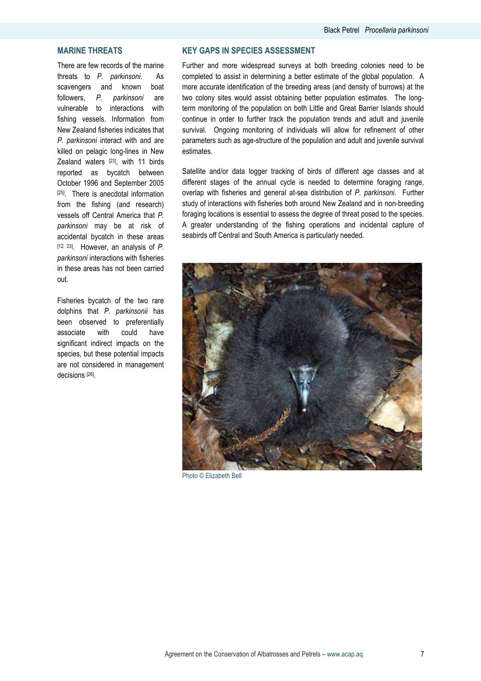#### MARINE THREATS

There are few records of the marine threats to P. parkinsoni. As scavengers and known boat followers, P. parkinsoni are vulnerable to interactions with fishing vessels. Information from New Zealand fisheries indicates that P. parkinsoni interact with and are killed on pelagic long-lines in New Zealand waters [23], with 11 birds reported as bycatch between October 1996 and September 2005  $[25]$ . There is anecdotal information from the fishing (and research) vessels off Central America that P. parkinsoni may be at risk of accidental bycatch in these areas  $[12, 23]$ . However, an analysis of P. parkinsoni interactions with fisheries in these areas has not been carried out.

Fisheries bycatch of the two rare dolphins that P. parkinsonii has been observed to preferentially associate with could have significant indirect impacts on the species, but these potential impacts are not considered in management decisions [26] .

#### KEY GAPS IN SPECIES ASSESSMENT

Further and more widespread surveys at both breeding colonies need to be completed to assist in determining a better estimate of the global population. A more accurate identification of the breeding areas (and density of burrows) at the two colony sites would assist obtaining better population estimates. The longterm monitoring of the population on both Little and Great Barrier Islands should continue in order to further track the population trends and adult and juvenile survival. Ongoing monitoring of individuals will allow for refinement of other parameters such as age-structure of the population and adult and juvenile survival estimates.

Satellite and/or data logger tracking of birds of different age classes and at different stages of the annual cycle is needed to determine foraging range, overlap with fisheries and general at-sea distribution of P. parkinsoni. Further study of interactions with fisheries both around New Zealand and in non-breeding foraging locations is essential to assess the degree of threat posed to the species. A greater understanding of the fishing operations and incidental capture of seabirds off Central and South America is particularly needed.



Photo © Elizabeth Bell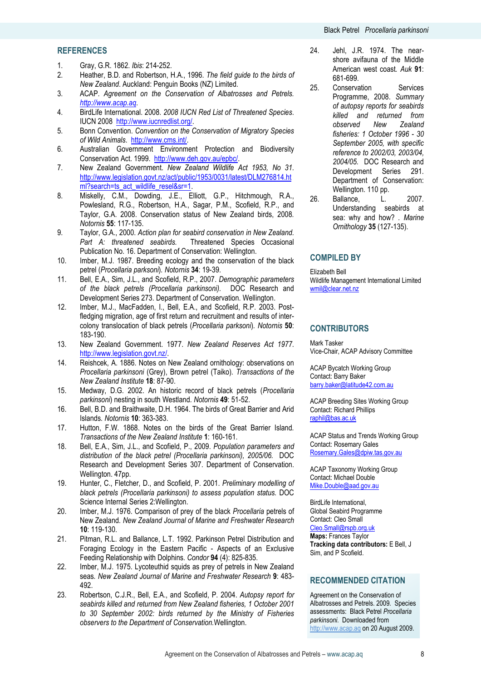#### **REFERENCES**

- 1. Gray, G.R. 1862. Ibis: 214-252.
- 2. Heather, B.D. and Robertson, H.A., 1996. The field guide to the birds of New Zealand. Auckland: Penguin Books (NZ) Limited.
- 3. ACAP. Agreement on the Conservation of Albatrosses and Petrels. http://www.acap.aq.
- 4. BirdLife International. 2008. 2008 IUCN Red List of Threatened Species. IUCN 2008 http://www.iucnredlist.org/.
- 5. Bonn Convention. Convention on the Conservation of Migratory Species of Wild Animals. http://www.cms.int/.
- 6. Australian Government Environment Protection and Biodiversity Conservation Act. 1999. http://www.deh.gov.au/epbc/.
- 7. New Zealand Government. New Zealand Wildlife Act 1953, No 31. http://www.legislation.govt.nz/act/public/1953/0031/latest/DLM276814.ht ml?search=ts\_act\_wildlife\_resel&sr=1.
- 8. Miskelly, C.M., Dowding, J.E., Elliott, G.P., Hitchmough, R.A., Powlesland, R.G., Robertson, H.A., Sagar, P.M., Scofield, R.P., and Taylor, G.A. 2008. Conservation status of New Zealand birds, 2008. Notornis 55: 117-135.
- 9. Taylor, G.A., 2000. Action plan for seabird conservation in New Zealand. Part A: threatened seabirds. Threatened Species Occasional Publication No. 16. Department of Conservation: Wellington.
- 10. Imber, M.J. 1987. Breeding ecology and the conservation of the black petrel (Procellaria parksoni). Notornis 34: 19-39.
- 11. Bell, E.A., Sim, J.L., and Scofield, R.P., 2007. Demographic parameters of the black petrels (Procellaria parkinsoni). DOC Research and Development Series 273. Department of Conservation. Wellington.
- 12. Imber, M.J., MacFadden, I., Bell, E.A., and Scofield, R.P. 2003. Postfledging migration, age of first return and recruitment and results of intercolony translocation of black petrels (Procellaria parksoni). Notornis 50: 183-190.
- 13. New Zealand Government. 1977. New Zealand Reserves Act 1977. http://www.legislation.govt.nz/.
- 14. Reishcek, A. 1886. Notes on New Zealand ornithology: observations on Procellaria parkinsoni (Grey), Brown petrel (Taiko). Transactions of the New Zealand Institute 18: 87-90.
- 15. Medway, D.G. 2002. An historic record of black petrels (Procellaria parkinsoni) nesting in south Westland. Notornis 49: 51-52.
- 16. Bell, B.D. and Braithwaite, D.H. 1964. The birds of Great Barrier and Arid Islands. Notornis 10: 363-383.
- 17. Hutton, F.W. 1868. Notes on the birds of the Great Barrier Island. Transactions of the New Zealand Institute 1: 160-161.
- 18. Bell, E.A., Sim, J.L., and Scofield, P., 2009. Population parameters and distribution of the black petrel (Procellaria parkinsoni), 2005/06. DOC Research and Development Series 307. Department of Conservation. Wellington, 47pp.
- 19. Hunter, C., Fletcher, D., and Scofield, P. 2001. Preliminary modelling of black petrels (Procellaria parkinsoni) to assess population status. DOC Science Internal Series 2:Wellington.
- 20. Imber, M.J. 1976. Comparison of prey of the black Procellaria petrels of New Zealand. New Zealand Journal of Marine and Freshwater Research 10: 119-130.
- 21. Pitman, R.L. and Ballance, L.T. 1992. Parkinson Petrel Distribution and Foraging Ecology in the Eastern Pacific - Aspects of an Exclusive Feeding Relationship with Dolphins. Condor 94 (4): 825-835.
- 22. Imber, M.J. 1975. Lycoteuthid squids as prey of petrels in New Zealand seas. New Zealand Journal of Marine and Freshwater Research 9: 483-492.
- 23. Robertson, C.J.R., Bell, E.A., and Scofield, P. 2004. Autopsy report for seabirds killed and returned from New Zealand fisheries, 1 October 2001 to 30 September 2002: birds returned by the Ministry of Fisheries observers to the Department of Conservation.Wellington.
- 24. Jehl, J.R. 1974. The nearshore avifauna of the Middle American west coast. Auk 91: 681-699.
- 25. Conservation Services Programme, 2008. Summary of autopsy reports for seabirds killed and returned from observed New Zealand fisheries: 1 October 1996 - 30 September 2005, with specific reference to 2002/03, 2003/04, 2004/05. DOC Research and Development Series 291. Department of Conservation: Wellington. 110 pp.
- 26. Ballance, L. 2007. Understanding seabirds at sea: why and how? . Marine Ornithology 35 (127-135).

#### COMPILED BY

Elizabeth Bell Wildlife Management International Limited wmil@clear.net.nz

#### **CONTRIBUTORS**

Mark Tasker Vice-Chair, ACAP Advisory Committee

ACAP Bycatch Working Group Contact: Barry Baker barry.baker@latitude42.com.au

ACAP Breeding Sites Working Group Contact: Richard Phillips raphil@bas.ac.uk

ACAP Status and Trends Working Group Contact: Rosemary Gales Rosemary.Gales@dpiw.tas.gov.au

ACAP Taxonomy Working Group Contact: Michael Double Mike.Double@aad.gov.au

BirdLife International, Global Seabird Programme Contact: Cleo Small Cleo.Small@rspb.org.uk Maps: Frances Taylor Tracking data contributors: E Bell, J Sim, and P Scofield.

#### RECOMMENDED CITATION

Agreement on the Conservation of Albatrosses and Petrels. 2009. Species assessments: Black Petrel Procellaria parkinsoni. Downloaded from http://www.acap.aq on 20 August 2009.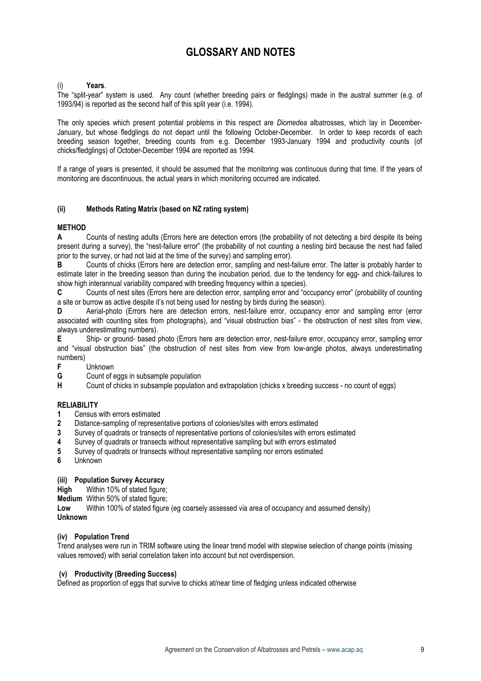## GLOSSARY AND NOTES

#### Years.

The "split-year" system is used. Any count (whether breeding pairs or fledglings) made in the austral summer (e.g. of 1993/94) is reported as the second half of this split year (i.e. 1994).

The only species which present potential problems in this respect are *Diomedea* albatrosses, which lay in December-January, but whose fledglings do not depart until the following October-December. In order to keep records of each breeding season together, breeding counts from e.g. December 1993-January 1994 and productivity counts (of chicks/fledglings) of October-December 1994 are reported as 1994.

If a range of years is presented, it should be assumed that the monitoring was continuous during that time. If the years of monitoring are discontinuous, the actual years in which monitoring occurred are indicated.

#### (ii) Methods Rating Matrix (based on NZ rating system)

#### **METHOD**

A Counts of nesting adults (Errors here are detection errors (the probability of not detecting a bird despite its being present during a survey), the "nest-failure error" (the probability of not counting a nesting bird because the nest had failed prior to the survey, or had not laid at the time of the survey) and sampling error).

B Counts of chicks (Errors here are detection error, sampling and nest-failure error. The latter is probably harder to estimate later in the breeding season than during the incubation period, due to the tendency for egg- and chick-failures to show high interannual variability compared with breeding frequency within a species).

C Counts of nest sites (Errors here are detection error, sampling error and "occupancy error" (probability of counting a site or burrow as active despite it's not being used for nesting by birds during the season).

D Aerial-photo (Errors here are detection errors, nest-failure error, occupancy error and sampling error (error associated with counting sites from photographs), and "visual obstruction bias" - the obstruction of nest sites from view, always underestimating numbers).

E Ship- or ground- based photo (Errors here are detection error, nest-failure error, occupancy error, sampling error and "visual obstruction bias" (the obstruction of nest sites from view from low-angle photos, always underestimating numbers)

Unknown

**G** Count of eggs in subsample population<br> **H** Count of chicks in subsample population

Count of chicks in subsample population and extrapolation (chicks x breeding success - no count of eggs)

#### RELIABILITY

- 1 Census with errors estimated
- 2 Distance-sampling of representative portions of colonies/sites with errors estimated
- 3 Survey of quadrats or transects of representative portions of colonies/sites with errors estimated
- 4 Survey of quadrats or transects without representative sampling but with errors estimated
- 5 Survey of quadrats or transects without representative sampling nor errors estimated
- 6 Unknown

#### (iii) Population Survey Accuracy

High Within 10% of stated figure;

Medium Within 50% of stated figure;

Low Within 100% of stated figure (eg coarsely assessed via area of occupancy and assumed density)

#### Unknown

#### (iv) Population Trend

Trend analyses were run in TRIM software using the linear trend model with stepwise selection of change points (missing values removed) with serial correlation taken into account but not overdispersion.

#### (v) Productivity (Breeding Success)

Defined as proportion of eggs that survive to chicks at/near time of fledging unless indicated otherwise